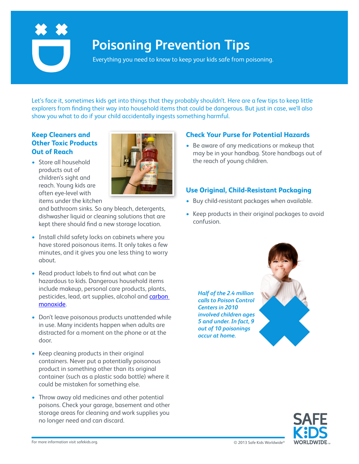

# **Poisoning Prevention Tips**

Everything you need to know to keep your kids safe from poisoning.

Let's face it, sometimes kids get into things that they probably shouldn't. Here are a few tips to keep little explorers from finding their way into household items that could be dangerous. But just in case, we'll also show you what to do if your child accidentally ingests something harmful.

### **Keep Cleaners and Other Toxic Products Out of Reach**

• Store all household products out of children's sight and reach. Young kids are often eye-level with items under the kitchen



and bathroom sinks. So any bleach, detergents, dishwasher liquid or cleaning solutions that are kept there should find a new storage location.

- Install child safety locks on cabinets where you have stored poisonous items. It only takes a few minutes, and it gives you one less thing to worry about.
- Read product labels to find out what can be hazardous to kids. Dangerous household items include makeup, personal care products, plants, pesticides, lead, art supplies, alcohol an[d carbon](https://www.safekids.org/safetytips/field_risks/carbon-monoxide)  [monoxide.](https://www.safekids.org/safetytips/field_risks/carbon-monoxide)
- Don't leave poisonous products unattended while in use. Many incidents happen when adults are distracted for a moment on the phone or at the door.
- Keep cleaning products in their original containers. Never put a potentially poisonous product in something other than its original container (such as a plastic soda bottle) where it could be mistaken for something else.
- Throw away old medicines and other potential poisons. Check your garage, basement and other storage areas for cleaning and work supplies you no longer need and can discard.

*Half of the 2.4 million calls to Poison Control Centers in 2010 involved children ages 5 and under. In fact, 9 out of 10 poisonings occur at home.*

**Check Your Purse for Potential Hazards** • Be aware of any medications or makeup that may be in your handbag. Store handbags out of

**Use Original, Child-Resistant Packaging** • Buy child-resistant packages when available.

• Keep products in their original packages to avoid

the reach of young children.

confusion.